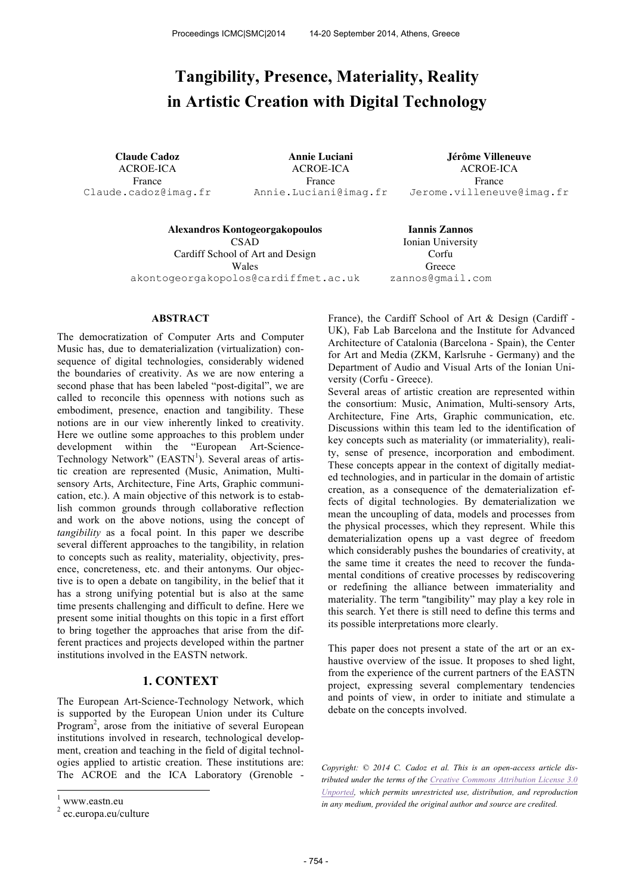# **Tangibility, Presence, Materiality, Reality in Artistic Creation with Digital Technology**

ACROE-ICA France Claude.cadoz@imag.fr

ACROE-ICA France Annie.Luciani@imag.fr

**Claude Cadoz Annie Luciani Jérôme Villeneuve** ACROE-ICA France Jerome.villeneuve@imag.fr

**Alexandros Kontogeorgakopoulos Iannis Zannos CSAD** Cardiff School of Art and Design Wales akontogeorgakopolos@cardiffmet.ac.uk

Ionian University Corfu **Greece** zannos@gmail.com

## **ABSTRACT**

The democratization of Computer Arts and Computer Music has, due to dematerialization (virtualization) consequence of digital technologies, considerably widened the boundaries of creativity. As we are now entering a second phase that has been labeled "post-digital", we are called to reconcile this openness with notions such as embodiment, presence, enaction and tangibility. These notions are in our view inherently linked to creativity. Here we outline some approaches to this problem under development within the "European Art-Science-Technology Network" (EASTN<sup>1</sup>). Several areas of artistic creation are represented (Music, Animation, Multisensory Arts, Architecture, Fine Arts, Graphic communication, etc.). A main objective of this network is to establish common grounds through collaborative reflection and work on the above notions, using the concept of *tangibility* as a focal point. In this paper we describe several different approaches to the tangibility, in relation to concepts such as reality, materiality, objectivity, presence, concreteness, etc. and their antonyms. Our objective is to open a debate on tangibility, in the belief that it has a strong unifying potential but is also at the same time presents challenging and difficult to define. Here we present some initial thoughts on this topic in a first effort to bring together the approaches that arise from the different practices and projects developed within the partner institutions involved in the EASTN network.

# **1. CONTEXT**

The European Art-Science-Technology Network, which is supported by the European Union under its Culture Program<sup>2</sup>, arose from the initiative of several European institutions involved in research, technological development, creation and teaching in the field of digital technologies applied to artistic creation. These institutions are: The ACROE and the ICA Laboratory (Grenoble -

 $\overline{a}$ 

France), the Cardiff School of Art & Design (Cardiff - UK), Fab Lab Barcelona and the Institute for Advanced Architecture of Catalonia (Barcelona - Spain), the Center for Art and Media (ZKM, Karlsruhe - Germany) and the Department of Audio and Visual Arts of the Ionian University (Corfu - Greece).

Several areas of artistic creation are represented within the consortium: Music, Animation, Multi-sensory Arts, Architecture, Fine Arts, Graphic communication, etc. Discussions within this team led to the identification of key concepts such as materiality (or immateriality), reality, sense of presence, incorporation and embodiment. These concepts appear in the context of digitally mediated technologies, and in particular in the domain of artistic creation, as a consequence of the dematerialization effects of digital technologies. By dematerialization we mean the uncoupling of data, models and processes from the physical processes, which they represent. While this dematerialization opens up a vast degree of freedom which considerably pushes the boundaries of creativity, at the same time it creates the need to recover the fundamental conditions of creative processes by rediscovering or redefining the alliance between immateriality and materiality. The term "tangibility" may play a key role in this search. Yet there is still need to define this terms and its possible interpretations more clearly.

This paper does not present a state of the art or an exhaustive overview of the issue. It proposes to shed light, from the experience of the current partners of the EASTN project, expressing several complementary tendencies and points of view, in order to initiate and stimulate a debate on the concepts involved.

*Copyright: © 2014 C. Cadoz et al. This is an open-access article distributed under the terms of the Creative Commons Attribution License 3.0 Unported, which permits unrestricted use, distribution, and reproduction in any medium, provided the original author and source are credited.*

www.eastn.eu

<sup>&</sup>lt;sup>2</sup> ec.europa.eu/culture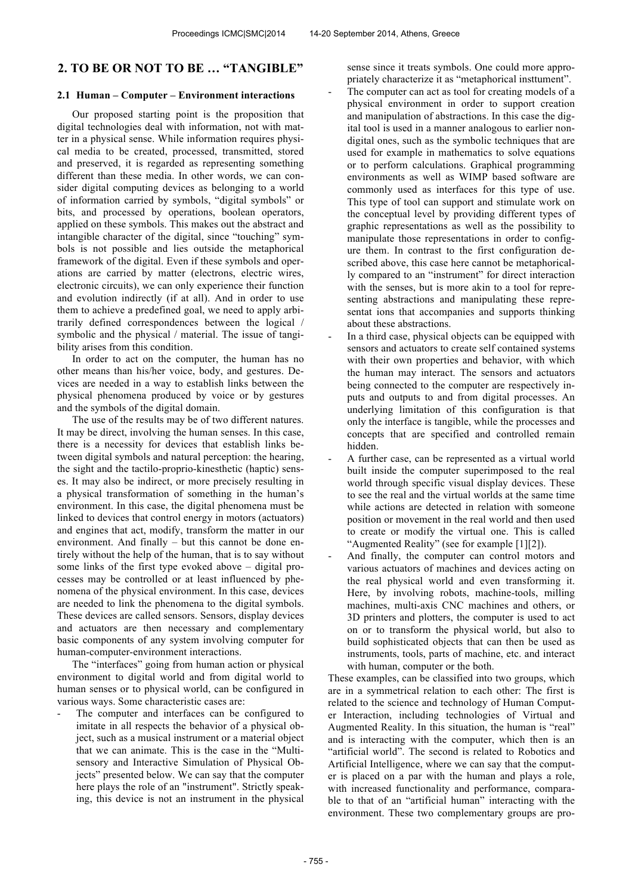# **2. TO BE OR NOT TO BE … "TANGIBLE"**

#### **2.1 Human – Computer – Environment interactions**

Our proposed starting point is the proposition that digital technologies deal with information, not with matter in a physical sense. While information requires physical media to be created, processed, transmitted, stored and preserved, it is regarded as representing something different than these media. In other words, we can consider digital computing devices as belonging to a world of information carried by symbols, "digital symbols" or bits, and processed by operations, boolean operators, applied on these symbols. This makes out the abstract and intangible character of the digital, since "touching" symbols is not possible and lies outside the metaphorical framework of the digital. Even if these symbols and operations are carried by matter (electrons, electric wires, electronic circuits), we can only experience their function and evolution indirectly (if at all). And in order to use them to achieve a predefined goal, we need to apply arbitrarily defined correspondences between the logical / symbolic and the physical / material. The issue of tangibility arises from this condition.

In order to act on the computer, the human has no other means than his/her voice, body, and gestures. Devices are needed in a way to establish links between the physical phenomena produced by voice or by gestures and the symbols of the digital domain.

The use of the results may be of two different natures. It may be direct, involving the human senses. In this case, there is a necessity for devices that establish links between digital symbols and natural perception: the hearing, the sight and the tactilo-proprio-kinesthetic (haptic) senses. It may also be indirect, or more precisely resulting in a physical transformation of something in the human's environment. In this case, the digital phenomena must be linked to devices that control energy in motors (actuators) and engines that act, modify, transform the matter in our environment. And finally – but this cannot be done entirely without the help of the human, that is to say without some links of the first type evoked above – digital processes may be controlled or at least influenced by phenomena of the physical environment. In this case, devices are needed to link the phenomena to the digital symbols. These devices are called sensors. Sensors, display devices and actuators are then necessary and complementary basic components of any system involving computer for human-computer-environment interactions.

The "interfaces" going from human action or physical environment to digital world and from digital world to human senses or to physical world, can be configured in various ways. Some characteristic cases are:

The computer and interfaces can be configured to imitate in all respects the behavior of a physical object, such as a musical instrument or a material object that we can animate. This is the case in the "Multisensory and Interactive Simulation of Physical Objects" presented below. We can say that the computer here plays the role of an "instrument". Strictly speaking, this device is not an instrument in the physical sense since it treats symbols. One could more appropriately characterize it as "metaphorical insttument".

- The computer can act as tool for creating models of a physical environment in order to support creation and manipulation of abstractions. In this case the digital tool is used in a manner analogous to earlier nondigital ones, such as the symbolic techniques that are used for example in mathematics to solve equations or to perform calculations. Graphical programming environments as well as WIMP based software are commonly used as interfaces for this type of use. This type of tool can support and stimulate work on the conceptual level by providing different types of graphic representations as well as the possibility to manipulate those representations in order to configure them. In contrast to the first configuration described above, this case here cannot be metaphorically compared to an "instrument" for direct interaction with the senses, but is more akin to a tool for representing abstractions and manipulating these representat ions that accompanies and supports thinking about these abstractions.
- In a third case, physical objects can be equipped with sensors and actuators to create self contained systems with their own properties and behavior, with which the human may interact. The sensors and actuators being connected to the computer are respectively inputs and outputs to and from digital processes. An underlying limitation of this configuration is that only the interface is tangible, while the processes and concepts that are specified and controlled remain hidden.
- A further case, can be represented as a virtual world built inside the computer superimposed to the real world through specific visual display devices. These to see the real and the virtual worlds at the same time while actions are detected in relation with someone position or movement in the real world and then used to create or modify the virtual one. This is called "Augmented Reality" (see for example [1][2]).
- And finally, the computer can control motors and various actuators of machines and devices acting on the real physical world and even transforming it. Here, by involving robots, machine-tools, milling machines, multi-axis CNC machines and others, or 3D printers and plotters, the computer is used to act on or to transform the physical world, but also to build sophisticated objects that can then be used as instruments, tools, parts of machine, etc. and interact with human, computer or the both.

These examples, can be classified into two groups, which are in a symmetrical relation to each other: The first is related to the science and technology of Human Computer Interaction, including technologies of Virtual and Augmented Reality. In this situation, the human is "real" and is interacting with the computer, which then is an "artificial world". The second is related to Robotics and Artificial Intelligence, where we can say that the computer is placed on a par with the human and plays a role, with increased functionality and performance, comparable to that of an "artificial human" interacting with the environment. These two complementary groups are pro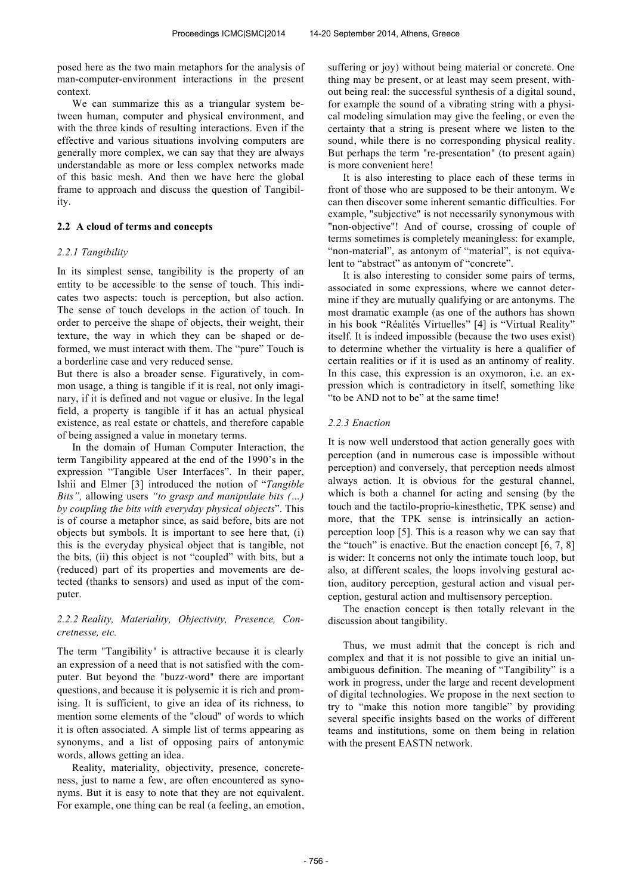posed here as the two main metaphors for the analysis of man-computer-environment interactions in the present context.

We can summarize this as a triangular system between human, computer and physical environment, and with the three kinds of resulting interactions. Even if the effective and various situations involving computers are generally more complex, we can say that they are always understandable as more or less complex networks made of this basic mesh. And then we have here the global frame to approach and discuss the question of Tangibility.

# **2.2 A cloud of terms and concepts**

## *2.2.1 Tangibility*

In its simplest sense, tangibility is the property of an entity to be accessible to the sense of touch. This indicates two aspects: touch is perception, but also action. The sense of touch develops in the action of touch. In order to perceive the shape of objects, their weight, their texture, the way in which they can be shaped or deformed, we must interact with them. The "pure" Touch is a borderline case and very reduced sense.

But there is also a broader sense. Figuratively, in common usage, a thing is tangible if it is real, not only imaginary, if it is defined and not vague or elusive. In the legal field, a property is tangible if it has an actual physical existence, as real estate or chattels, and therefore capable of being assigned a value in monetary terms.

In the domain of Human Computer Interaction, the term Tangibility appeared at the end of the 1990's in the expression "Tangible User Interfaces". In their paper, Ishii and Elmer [3] introduced the notion of "*Tangible Bits",* allowing users *"to grasp and manipulate bits (…) by coupling the bits with everyday physical objects*". This is of course a metaphor since, as said before, bits are not objects but symbols. It is important to see here that, (i) this is the everyday physical object that is tangible, not the bits, (ii) this object is not "coupled" with bits, but a (reduced) part of its properties and movements are detected (thanks to sensors) and used as input of the computer.

## *2.2.2 Reality, Materiality, Objectivity, Presence, Concretnesse, etc.*

The term "Tangibility" is attractive because it is clearly an expression of a need that is not satisfied with the computer. But beyond the "buzz-word" there are important questions, and because it is polysemic it is rich and promising. It is sufficient, to give an idea of its richness, to mention some elements of the "cloud" of words to which it is often associated. A simple list of terms appearing as synonyms, and a list of opposing pairs of antonymic words, allows getting an idea.

Reality, materiality, objectivity, presence, concreteness, just to name a few, are often encountered as synonyms. But it is easy to note that they are not equivalent. For example, one thing can be real (a feeling, an emotion, suffering or joy) without being material or concrete. One thing may be present, or at least may seem present, without being real: the successful synthesis of a digital sound, for example the sound of a vibrating string with a physical modeling simulation may give the feeling, or even the certainty that a string is present where we listen to the sound, while there is no corresponding physical reality. But perhaps the term "re-presentation" (to present again) is more convenient here!

It is also interesting to place each of these terms in front of those who are supposed to be their antonym. We can then discover some inherent semantic difficulties. For example, "subjective" is not necessarily synonymous with "non-objective"! And of course, crossing of couple of terms sometimes is completely meaningless: for example, "non-material", as antonym of "material", is not equivalent to "abstract" as antonym of "concrete".

It is also interesting to consider some pairs of terms, associated in some expressions, where we cannot determine if they are mutually qualifying or are antonyms. The most dramatic example (as one of the authors has shown in his book "Réalités Virtuelles" [4] is "Virtual Reality" itself. It is indeed impossible (because the two uses exist) to determine whether the virtuality is here a qualifier of certain realities or if it is used as an antinomy of reality. In this case, this expression is an oxymoron, i.e. an expression which is contradictory in itself, something like "to be AND not to be" at the same time!

#### *2.2.3 Enaction*

It is now well understood that action generally goes with perception (and in numerous case is impossible without perception) and conversely, that perception needs almost always action. It is obvious for the gestural channel, which is both a channel for acting and sensing (by the touch and the tactilo-proprio-kinesthetic, TPK sense) and more, that the TPK sense is intrinsically an actionperception loop [5]. This is a reason why we can say that the "touch" is enactive. But the enaction concept [6, 7, 8] is wider: It concerns not only the intimate touch loop, but also, at different scales, the loops involving gestural action, auditory perception, gestural action and visual perception, gestural action and multisensory perception.

The enaction concept is then totally relevant in the discussion about tangibility.

Thus, we must admit that the concept is rich and complex and that it is not possible to give an initial unambiguous definition. The meaning of "Tangibility" is a work in progress, under the large and recent development of digital technologies. We propose in the next section to try to "make this notion more tangible" by providing several specific insights based on the works of different teams and institutions, some on them being in relation with the present EASTN network.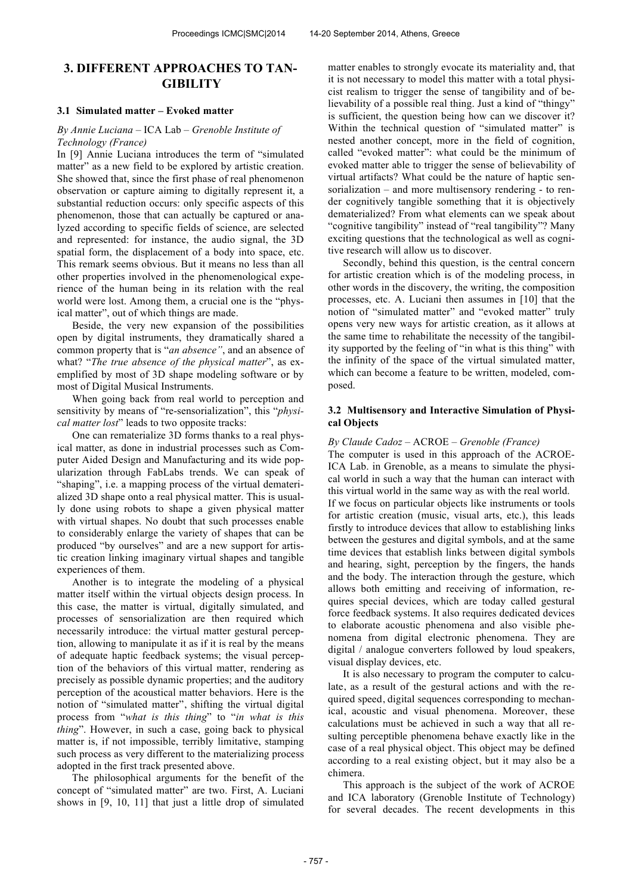# **3. DIFFERENT APPROACHES TO TAN-GIBILITY**

# **3.1 Simulated matter – Evoked matter**

#### *By Annie Luciana –* ICA Lab *– Grenoble Institute of Technology (France)*

In [9] Annie Luciana introduces the term of "simulated matter" as a new field to be explored by artistic creation. She showed that, since the first phase of real phenomenon observation or capture aiming to digitally represent it, a substantial reduction occurs: only specific aspects of this phenomenon, those that can actually be captured or analyzed according to specific fields of science, are selected and represented: for instance, the audio signal, the 3D spatial form, the displacement of a body into space, etc. This remark seems obvious. But it means no less than all other properties involved in the phenomenological experience of the human being in its relation with the real world were lost. Among them, a crucial one is the "physical matter", out of which things are made.

Beside, the very new expansion of the possibilities open by digital instruments, they dramatically shared a common property that is "*an absence"*, and an absence of what? "*The true absence of the physical matter*", as exemplified by most of 3D shape modeling software or by most of Digital Musical Instruments.

When going back from real world to perception and sensitivity by means of "re-sensorialization", this "*physical matter lost*" leads to two opposite tracks:

One can rematerialize 3D forms thanks to a real physical matter, as done in industrial processes such as Computer Aided Design and Manufacturing and its wide popularization through FabLabs trends. We can speak of "shaping", i.e. a mapping process of the virtual dematerialized 3D shape onto a real physical matter. This is usually done using robots to shape a given physical matter with virtual shapes. No doubt that such processes enable to considerably enlarge the variety of shapes that can be produced "by ourselves" and are a new support for artistic creation linking imaginary virtual shapes and tangible experiences of them.

Another is to integrate the modeling of a physical matter itself within the virtual objects design process. In this case, the matter is virtual, digitally simulated, and processes of sensorialization are then required which necessarily introduce: the virtual matter gestural perception, allowing to manipulate it as if it is real by the means of adequate haptic feedback systems; the visual perception of the behaviors of this virtual matter, rendering as precisely as possible dynamic properties; and the auditory perception of the acoustical matter behaviors. Here is the notion of "simulated matter", shifting the virtual digital process from "*what is this thing*" to "*in what is this thing*". However, in such a case, going back to physical matter is, if not impossible, terribly limitative, stamping such process as very different to the materializing process adopted in the first track presented above.

The philosophical arguments for the benefit of the concept of "simulated matter" are two. First, A. Luciani shows in [9, 10, 11] that just a little drop of simulated matter enables to strongly evocate its materiality and, that it is not necessary to model this matter with a total physicist realism to trigger the sense of tangibility and of believability of a possible real thing. Just a kind of "thingy" is sufficient, the question being how can we discover it? Within the technical question of "simulated matter" is nested another concept, more in the field of cognition, called "evoked matter": what could be the minimum of evoked matter able to trigger the sense of believability of virtual artifacts? What could be the nature of haptic sensorialization – and more multisensory rendering - to render cognitively tangible something that it is objectively dematerialized? From what elements can we speak about "cognitive tangibility" instead of "real tangibility"? Many exciting questions that the technological as well as cognitive research will allow us to discover.

Secondly, behind this question, is the central concern for artistic creation which is of the modeling process, in other words in the discovery, the writing, the composition processes, etc. A. Luciani then assumes in [10] that the notion of "simulated matter" and "evoked matter" truly opens very new ways for artistic creation, as it allows at the same time to rehabilitate the necessity of the tangibility supported by the feeling of "in what is this thing" with the infinity of the space of the virtual simulated matter, which can become a feature to be written, modeled, composed.

# **3.2 Multisensory and Interactive Simulation of Physical Objects**

#### *By Claude Cadoz –* ACROE *– Grenoble (France)*

The computer is used in this approach of the ACROE-ICA Lab. in Grenoble, as a means to simulate the physical world in such a way that the human can interact with this virtual world in the same way as with the real world. If we focus on particular objects like instruments or tools for artistic creation (music, visual arts, etc.), this leads firstly to introduce devices that allow to establishing links between the gestures and digital symbols, and at the same time devices that establish links between digital symbols and hearing, sight, perception by the fingers, the hands and the body. The interaction through the gesture, which allows both emitting and receiving of information, requires special devices, which are today called gestural force feedback systems. It also requires dedicated devices to elaborate acoustic phenomena and also visible phenomena from digital electronic phenomena. They are digital / analogue converters followed by loud speakers, visual display devices, etc.

It is also necessary to program the computer to calculate, as a result of the gestural actions and with the required speed, digital sequences corresponding to mechanical, acoustic and visual phenomena. Moreover, these calculations must be achieved in such a way that all resulting perceptible phenomena behave exactly like in the case of a real physical object. This object may be defined according to a real existing object, but it may also be a chimera.

This approach is the subject of the work of ACROE and ICA laboratory (Grenoble Institute of Technology) for several decades. The recent developments in this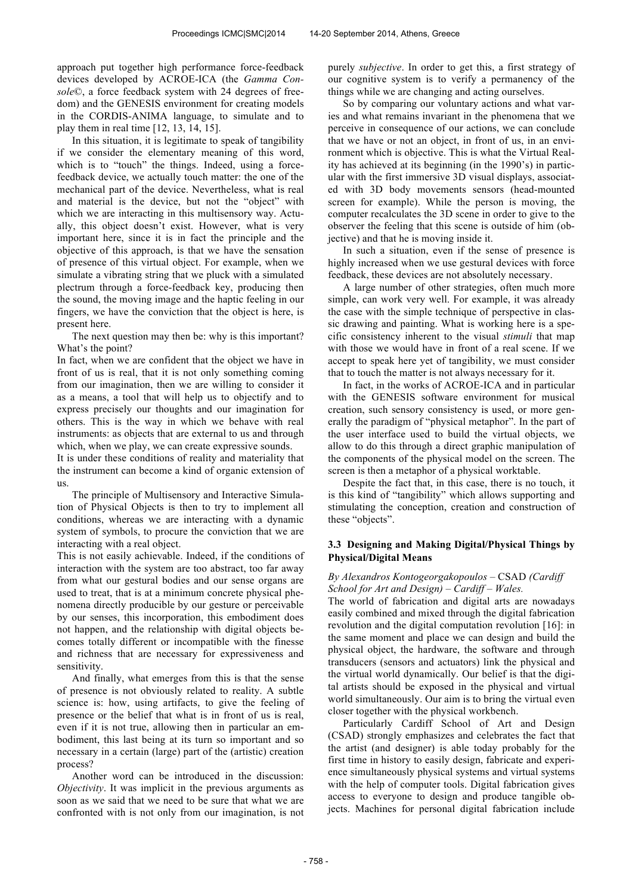approach put together high performance force-feedback devices developed by ACROE-ICA (the *Gamma Console*©, a force feedback system with 24 degrees of freedom) and the GENESIS environment for creating models in the CORDIS-ANIMA language, to simulate and to play them in real time [12, 13, 14, 15].

In this situation, it is legitimate to speak of tangibility if we consider the elementary meaning of this word, which is to "touch" the things. Indeed, using a forcefeedback device, we actually touch matter: the one of the mechanical part of the device. Nevertheless, what is real and material is the device, but not the "object" with which we are interacting in this multisensory way. Actually, this object doesn't exist. However, what is very important here, since it is in fact the principle and the objective of this approach, is that we have the sensation of presence of this virtual object. For example, when we simulate a vibrating string that we pluck with a simulated plectrum through a force-feedback key, producing then the sound, the moving image and the haptic feeling in our fingers, we have the conviction that the object is here, is present here.

The next question may then be: why is this important? What's the point?

In fact, when we are confident that the object we have in front of us is real, that it is not only something coming from our imagination, then we are willing to consider it as a means, a tool that will help us to objectify and to express precisely our thoughts and our imagination for others. This is the way in which we behave with real instruments: as objects that are external to us and through which, when we play, we can create expressive sounds.

It is under these conditions of reality and materiality that the instrument can become a kind of organic extension of us.

The principle of Multisensory and Interactive Simulation of Physical Objects is then to try to implement all conditions, whereas we are interacting with a dynamic system of symbols, to procure the conviction that we are interacting with a real object.

This is not easily achievable. Indeed, if the conditions of interaction with the system are too abstract, too far away from what our gestural bodies and our sense organs are used to treat, that is at a minimum concrete physical phenomena directly producible by our gesture or perceivable by our senses, this incorporation, this embodiment does not happen, and the relationship with digital objects becomes totally different or incompatible with the finesse and richness that are necessary for expressiveness and sensitivity.

And finally, what emerges from this is that the sense of presence is not obviously related to reality. A subtle science is: how, using artifacts, to give the feeling of presence or the belief that what is in front of us is real, even if it is not true, allowing then in particular an embodiment, this last being at its turn so important and so necessary in a certain (large) part of the (artistic) creation process?

Another word can be introduced in the discussion: *Objectivity*. It was implicit in the previous arguments as soon as we said that we need to be sure that what we are confronted with is not only from our imagination, is not purely *subjective*. In order to get this, a first strategy of our cognitive system is to verify a permanency of the things while we are changing and acting ourselves.

So by comparing our voluntary actions and what varies and what remains invariant in the phenomena that we perceive in consequence of our actions, we can conclude that we have or not an object, in front of us, in an environment which is objective. This is what the Virtual Reality has achieved at its beginning (in the 1990's) in particular with the first immersive 3D visual displays, associated with 3D body movements sensors (head-mounted screen for example). While the person is moving, the computer recalculates the 3D scene in order to give to the observer the feeling that this scene is outside of him (objective) and that he is moving inside it.

In such a situation, even if the sense of presence is highly increased when we use gestural devices with force feedback, these devices are not absolutely necessary.

A large number of other strategies, often much more simple, can work very well. For example, it was already the case with the simple technique of perspective in classic drawing and painting. What is working here is a specific consistency inherent to the visual *stimuli* that map with those we would have in front of a real scene. If we accept to speak here yet of tangibility, we must consider that to touch the matter is not always necessary for it.

In fact, in the works of ACROE-ICA and in particular with the GENESIS software environment for musical creation, such sensory consistency is used, or more generally the paradigm of "physical metaphor". In the part of the user interface used to build the virtual objects, we allow to do this through a direct graphic manipulation of the components of the physical model on the screen. The screen is then a metaphor of a physical worktable.

Despite the fact that, in this case, there is no touch, it is this kind of "tangibility" which allows supporting and stimulating the conception, creation and construction of these "objects".

# **3.3 Designing and Making Digital/Physical Things by Physical/Digital Means**

# *By Alexandros Kontogeorgakopoulos –* CSAD *(Cardiff School for Art and Design) – Cardiff – Wales.*

The world of fabrication and digital arts are nowadays easily combined and mixed through the digital fabrication revolution and the digital computation revolution [16]: in the same moment and place we can design and build the physical object, the hardware, the software and through transducers (sensors and actuators) link the physical and the virtual world dynamically. Our belief is that the digital artists should be exposed in the physical and virtual world simultaneously. Our aim is to bring the virtual even closer together with the physical workbench.

Particularly Cardiff School of Art and Design (CSAD) strongly emphasizes and celebrates the fact that the artist (and designer) is able today probably for the first time in history to easily design, fabricate and experience simultaneously physical systems and virtual systems with the help of computer tools. Digital fabrication gives access to everyone to design and produce tangible objects. Machines for personal digital fabrication include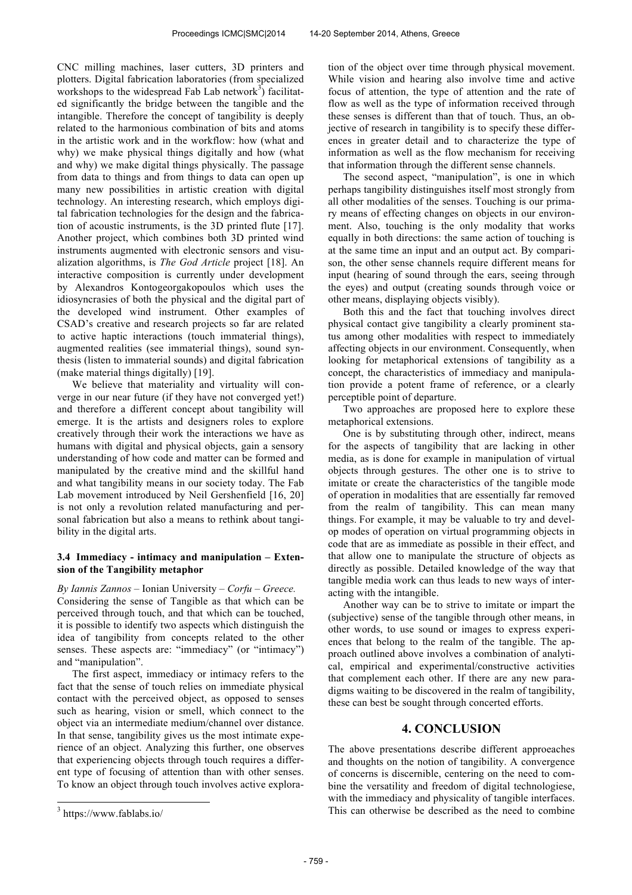CNC milling machines, laser cutters, 3D printers and plotters. Digital fabrication laboratories (from specialized workshops to the widespread Fab Lab network $\overline{3}$ ) facilitated significantly the bridge between the tangible and the intangible. Therefore the concept of tangibility is deeply related to the harmonious combination of bits and atoms in the artistic work and in the workflow: how (what and why) we make physical things digitally and how (what and why) we make digital things physically. The passage from data to things and from things to data can open up many new possibilities in artistic creation with digital technology. An interesting research, which employs digital fabrication technologies for the design and the fabrication of acoustic instruments, is the 3D printed flute [17]. Another project, which combines both 3D printed wind instruments augmented with electronic sensors and visualization algorithms, is *The God Article* project [18]. An interactive composition is currently under development by Alexandros Kontogeorgakopoulos which uses the idiosyncrasies of both the physical and the digital part of the developed wind instrument. Other examples of CSAD's creative and research projects so far are related to active haptic interactions (touch immaterial things), augmented realities (see immaterial things), sound synthesis (listen to immaterial sounds) and digital fabrication (make material things digitally) [19].

We believe that materiality and virtuality will converge in our near future (if they have not converged yet!) and therefore a different concept about tangibility will emerge. It is the artists and designers roles to explore creatively through their work the interactions we have as humans with digital and physical objects, gain a sensory understanding of how code and matter can be formed and manipulated by the creative mind and the skillful hand and what tangibility means in our society today. The Fab Lab movement introduced by Neil Gershenfield [16, 20] is not only a revolution related manufacturing and personal fabrication but also a means to rethink about tangibility in the digital arts.

## **3.4 Immediacy - intimacy and manipulation – Extension of the Tangibility metaphor**

*By Iannis Zannos* – Ionian University *– Corfu – Greece.* Considering the sense of Tangible as that which can be perceived through touch, and that which can be touched, it is possible to identify two aspects which distinguish the idea of tangibility from concepts related to the other senses. These aspects are: "immediacy" (or "intimacy") and "manipulation".

The first aspect, immediacy or intimacy refers to the fact that the sense of touch relies on immediate physical contact with the perceived object, as opposed to senses such as hearing, vision or smell, which connect to the object via an intermediate medium/channel over distance. In that sense, tangibility gives us the most intimate experience of an object. Analyzing this further, one observes that experiencing objects through touch requires a different type of focusing of attention than with other senses. To know an object through touch involves active explora-

 $\overline{a}$ 

tion of the object over time through physical movement. While vision and hearing also involve time and active focus of attention, the type of attention and the rate of flow as well as the type of information received through these senses is different than that of touch. Thus, an objective of research in tangibility is to specify these differences in greater detail and to characterize the type of information as well as the flow mechanism for receiving that information through the different sense channels.

The second aspect, "manipulation", is one in which perhaps tangibility distinguishes itself most strongly from all other modalities of the senses. Touching is our primary means of effecting changes on objects in our environment. Also, touching is the only modality that works equally in both directions: the same action of touching is at the same time an input and an output act. By comparison, the other sense channels require different means for input (hearing of sound through the ears, seeing through the eyes) and output (creating sounds through voice or other means, displaying objects visibly).

Both this and the fact that touching involves direct physical contact give tangibility a clearly prominent status among other modalities with respect to immediately affecting objects in our environment. Consequently, when looking for metaphorical extensions of tangibility as a concept, the characteristics of immediacy and manipulation provide a potent frame of reference, or a clearly perceptible point of departure.

Two approaches are proposed here to explore these metaphorical extensions.

One is by substituting through other, indirect, means for the aspects of tangibility that are lacking in other media, as is done for example in manipulation of virtual objects through gestures. The other one is to strive to imitate or create the characteristics of the tangible mode of operation in modalities that are essentially far removed from the realm of tangibility. This can mean many things. For example, it may be valuable to try and develop modes of operation on virtual programming objects in code that are as immediate as possible in their effect, and that allow one to manipulate the structure of objects as directly as possible. Detailed knowledge of the way that tangible media work can thus leads to new ways of interacting with the intangible.

Another way can be to strive to imitate or impart the (subjective) sense of the tangible through other means, in other words, to use sound or images to express experiences that belong to the realm of the tangible. The approach outlined above involves a combination of analytical, empirical and experimental/constructive activities that complement each other. If there are any new paradigms waiting to be discovered in the realm of tangibility, these can best be sought through concerted efforts.

# **4. CONCLUSION**

The above presentations describe different approeaches and thoughts on the notion of tangibility. A convergence of concerns is discernible, centering on the need to combine the versatility and freedom of digital technologiese, with the immediacy and physicality of tangible interfaces. This can otherwise be described as the need to combine

<sup>3</sup> https://www.fablabs.io/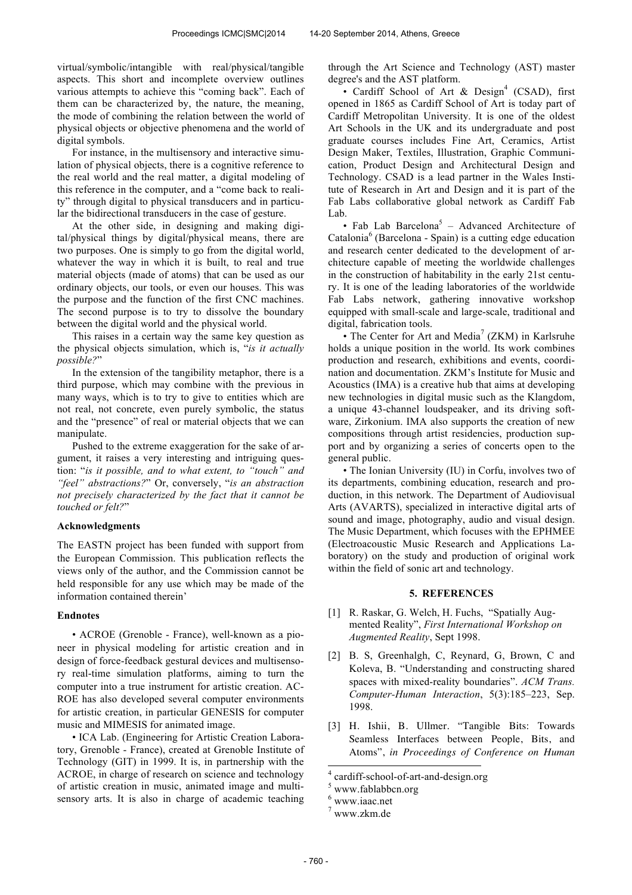virtual/symbolic/intangible with real/physical/tangible aspects. This short and incomplete overview outlines various attempts to achieve this "coming back". Each of them can be characterized by, the nature, the meaning, the mode of combining the relation between the world of physical objects or objective phenomena and the world of digital symbols.

For instance, in the multisensory and interactive simulation of physical objects, there is a cognitive reference to the real world and the real matter, a digital modeling of this reference in the computer, and a "come back to reality" through digital to physical transducers and in particular the bidirectional transducers in the case of gesture.

At the other side, in designing and making digital/physical things by digital/physical means, there are two purposes. One is simply to go from the digital world, whatever the way in which it is built, to real and true material objects (made of atoms) that can be used as our ordinary objects, our tools, or even our houses. This was the purpose and the function of the first CNC machines. The second purpose is to try to dissolve the boundary between the digital world and the physical world.

This raises in a certain way the same key question as the physical objects simulation, which is, "*is it actually possible?*"

In the extension of the tangibility metaphor, there is a third purpose, which may combine with the previous in many ways, which is to try to give to entities which are not real, not concrete, even purely symbolic, the status and the "presence" of real or material objects that we can manipulate.

Pushed to the extreme exaggeration for the sake of argument, it raises a very interesting and intriguing question: "*is it possible, and to what extent, to "touch" and "feel" abstractions?*" Or, conversely, "*is an abstraction not precisely characterized by the fact that it cannot be touched or felt?*"

#### **Acknowledgments**

The EASTN project has been funded with support from the European Commission. This publication reflects the views only of the author, and the Commission cannot be held responsible for any use which may be made of the information contained therein'

#### **Endnotes**

• ACROE (Grenoble - France), well-known as a pioneer in physical modeling for artistic creation and in design of force-feedback gestural devices and multisensory real-time simulation platforms, aiming to turn the computer into a true instrument for artistic creation. AC-ROE has also developed several computer environments for artistic creation, in particular GENESIS for computer music and MIMESIS for animated image.

• ICA Lab. (Engineering for Artistic Creation Laboratory, Grenoble - France), created at Grenoble Institute of Technology (GIT) in 1999. It is, in partnership with the ACROE, in charge of research on science and technology of artistic creation in music, animated image and multisensory arts. It is also in charge of academic teaching through the Art Science and Technology (AST) master degree's and the AST platform.

· Cardiff School of Art & Design<sup>4</sup> (CSAD), first opened in 1865 as Cardiff School of Art is today part of Cardiff Metropolitan University. It is one of the oldest Art Schools in the UK and its undergraduate and post graduate courses includes Fine Art, Ceramics, Artist Design Maker, Textiles, Illustration, Graphic Communication, Product Design and Architectural Design and Technology. CSAD is a lead partner in the Wales Institute of Research in Art and Design and it is part of the Fab Labs collaborative global network as Cardiff Fab Lab.

• Fab Lab Barcelona<sup>5</sup> – Advanced Architecture of Catalonia<sup>6</sup> (Barcelona - Spain) is a cutting edge education and research center dedicated to the development of architecture capable of meeting the worldwide challenges in the construction of habitability in the early 21st century. It is one of the leading laboratories of the worldwide Fab Labs network, gathering innovative workshop equipped with small-scale and large-scale, traditional and digital, fabrication tools.

• The Center for Art and Media<sup>7</sup> (ZKM) in Karlsruhe holds a unique position in the world. Its work combines production and research, exhibitions and events, coordination and documentation. ZKM's Institute for Music and Acoustics (IMA) is a creative hub that aims at developing new technologies in digital music such as the Klangdom, a unique 43-channel loudspeaker, and its driving software, Zirkonium. IMA also supports the creation of new compositions through artist residencies, production support and by organizing a series of concerts open to the general public.

• The Ionian University (IU) in Corfu, involves two of its departments, combining education, research and production, in this network. The Department of Audiovisual Arts (AVARTS), specialized in interactive digital arts of sound and image, photography, audio and visual design. The Music Department, which focuses with the EPHMEE (Electroacoustic Music Research and Applications Laboratory) on the study and production of original work within the field of sonic art and technology.

#### **5. REFERENCES**

- [1] R. Raskar, G. Welch, H. Fuchs, "Spatially Augmented Reality", *First International Workshop on Augmented Reality*, Sept 1998.
- [2] B. S, Greenhalgh, C, Reynard, G, Brown, C and Koleva, B. "Understanding and constructing shared spaces with mixed-reality boundaries". *ACM Trans. Computer-Human Interaction*, 5(3):185–223, Sep. 1998.
- [3] H. Ishii, B. Ullmer. "Tangible Bits: Towards Seamless Interfaces between People, Bits, and Atoms", *in Proceedings of Conference on Human*

j

<sup>4</sup> cardiff-school-of-art-and-design.org

www.fablabbcn.org

 $6$  www.iaac.net

<sup>7</sup> www.zkm.de